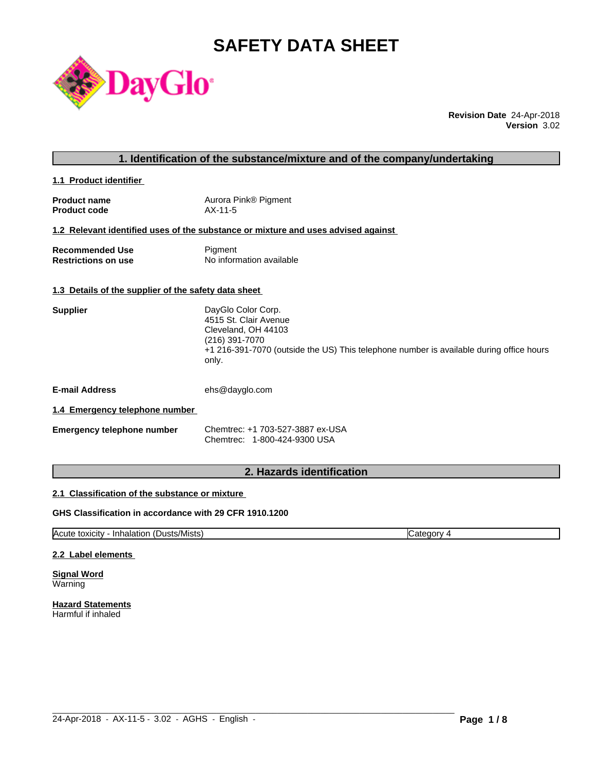# **SAFETY DATA SHEET**



**Revision Date** 24-Apr-2018 **Version** 3.02

# **1. Identification of the substance/mixture and of the company/undertaking**

**1.1 Product identifier** 

| <b>Product name</b> | Aurora Pink® Pigment |
|---------------------|----------------------|
| <b>Product code</b> | AX-11-5              |

# **1.2 Relevant identified uses of the substance or mixture and uses advised against**

| <b>Recommended Use</b>     | Pigment                  |
|----------------------------|--------------------------|
| <b>Restrictions on use</b> | No information available |

#### **1.3 Details of the supplier of the safety data sheet**

| 4515 St. Clair Avenue<br>Cleveland, OH 44103<br>(216) 391-7070                                   |  |
|--------------------------------------------------------------------------------------------------|--|
|                                                                                                  |  |
|                                                                                                  |  |
|                                                                                                  |  |
| +1 216-391-7070 (outside the US) This telephone number is available during office hours<br>only. |  |

**E-mail Address** ehs@dayglo.com

# **1.4 Emergency telephone number**

| <b>Emergency telephone number</b> | Chemtrec: +1 703-527-3887 ex-USA |
|-----------------------------------|----------------------------------|
|                                   | Chemtrec: 1-800-424-9300 USA     |

# **2. Hazards identification**

#### **2.1 Classification of the substance or mixture**

# **GHS Classification in accordance with 29 CFR 1910.1200**

Acute toxicity - Inhalation (Dusts/Mists) Category 4

 $\_$  ,  $\_$  ,  $\_$  ,  $\_$  ,  $\_$  ,  $\_$  ,  $\_$  ,  $\_$  ,  $\_$  ,  $\_$  ,  $\_$  ,  $\_$  ,  $\_$  ,  $\_$  ,  $\_$  ,  $\_$  ,  $\_$  ,  $\_$  ,  $\_$  ,  $\_$  ,  $\_$  ,  $\_$  ,  $\_$  ,  $\_$  ,  $\_$  ,  $\_$  ,  $\_$  ,  $\_$  ,  $\_$  ,  $\_$  ,  $\_$  ,  $\_$  ,  $\_$  ,  $\_$  ,  $\_$  ,  $\_$  ,  $\_$  ,

# **2.2 Label elements**

**Signal Word** Warning

**Hazard Statements** Harmful if inhaled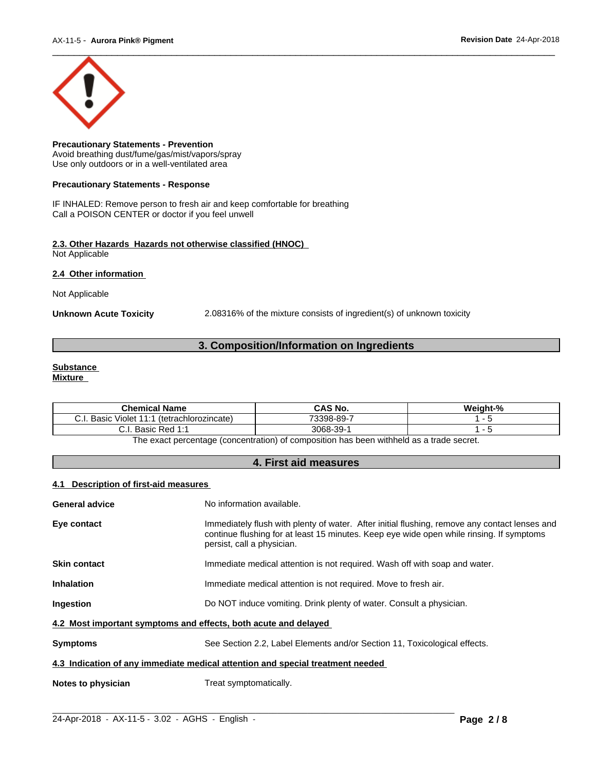

**Precautionary Statements - Prevention** Avoid breathing dust/fume/gas/mist/vapors/spray Use only outdoors or in a well-ventilated area

### **Precautionary Statements - Response**

IF INHALED: Remove person to fresh air and keep comfortable for breathing Call a POISON CENTER or doctor if you feel unwell

#### **2.3. Other Hazards Hazards not otherwise classified (HNOC)** Not Applicable

**2.4 Other information** 

Not Applicable

**Unknown Acute Toxicity** 2.08316% of the mixture consists of ingredient(s) of unknown toxicity

# **3. Composition/Information on Ingredients**

#### **Substance Mixture**

| <b>Chemical</b><br>.<br>Name                                | <b>CAS No.</b>          | $\sim$<br><br>weight-% |
|-------------------------------------------------------------|-------------------------|------------------------|
| $\cdots$<br>(tetrachlorozincate)<br>Basic<br>Violet<br>◡.╷. | 73398-89-7              |                        |
| ⌒<br><b>Dod 1.1</b><br>Basic<br>'<br>.                      | 3068-.<br>$\sim$<br>39- |                        |

The exact percentage (concentration) of composition has been withheld as a trade secret.

# **4. First aid measures**

# **4.1 Description of first-aid measures**

| General advice                                                                 | No information available.                                                                                                                                                                                               |  |  |
|--------------------------------------------------------------------------------|-------------------------------------------------------------------------------------------------------------------------------------------------------------------------------------------------------------------------|--|--|
| Eye contact                                                                    | Immediately flush with plenty of water. After initial flushing, remove any contact lenses and<br>continue flushing for at least 15 minutes. Keep eye wide open while rinsing. If symptoms<br>persist, call a physician. |  |  |
| Skin contact                                                                   | Immediate medical attention is not required. Wash off with soap and water.                                                                                                                                              |  |  |
| Inhalation                                                                     | Immediate medical attention is not required. Move to fresh air.                                                                                                                                                         |  |  |
| Ingestion                                                                      | Do NOT induce vomiting. Drink plenty of water. Consult a physician.                                                                                                                                                     |  |  |
| 4.2 Most important symptoms and effects, both acute and delayed                |                                                                                                                                                                                                                         |  |  |
| Symptoms                                                                       | See Section 2.2, Label Elements and/or Section 11, Toxicological effects.                                                                                                                                               |  |  |
| 4.3 Indication of any immediate medical attention and special treatment needed |                                                                                                                                                                                                                         |  |  |
| <b>Notes to physician</b><br>Treat symptomatically.                            |                                                                                                                                                                                                                         |  |  |
|                                                                                |                                                                                                                                                                                                                         |  |  |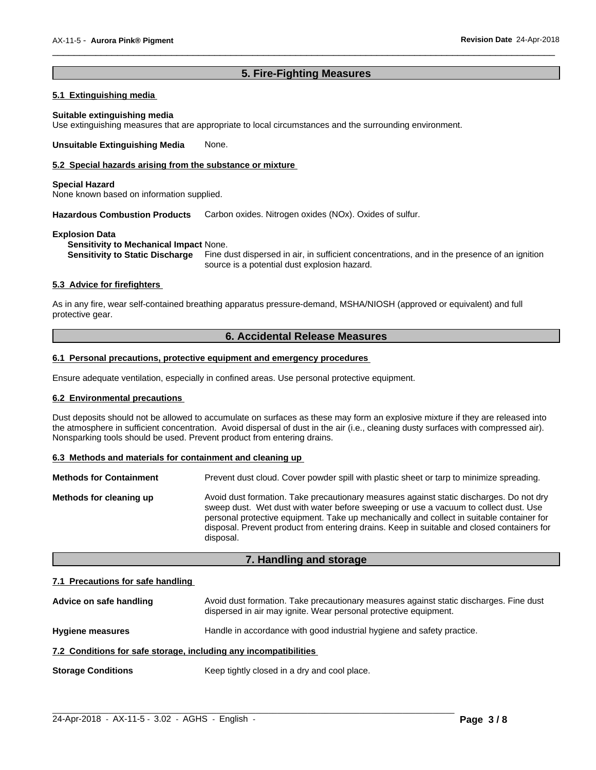# **5. Fire-Fighting Measures**

 $\overline{\phantom{a}}$  ,  $\overline{\phantom{a}}$  ,  $\overline{\phantom{a}}$  ,  $\overline{\phantom{a}}$  ,  $\overline{\phantom{a}}$  ,  $\overline{\phantom{a}}$  ,  $\overline{\phantom{a}}$  ,  $\overline{\phantom{a}}$  ,  $\overline{\phantom{a}}$  ,  $\overline{\phantom{a}}$  ,  $\overline{\phantom{a}}$  ,  $\overline{\phantom{a}}$  ,  $\overline{\phantom{a}}$  ,  $\overline{\phantom{a}}$  ,  $\overline{\phantom{a}}$  ,  $\overline{\phantom{a}}$ 

# **5.1 Extinguishing media**

#### **Suitable extinguishing media**

Use extinguishing measures that are appropriate to local circumstances and the surrounding environment.

**Unsuitable Extinguishing Media** None.

#### **5.2 Special hazards arising from the substance or mixture**

#### **Special Hazard**

None known based on information supplied.

**Hazardous Combustion Products** Carbon oxides. Nitrogen oxides (NOx). Oxides of sulfur.

#### **Explosion Data**

**Sensitivity to Mechanical Impact** None.

**Sensitivity to Static Discharge** Fine dust dispersed in air, in sufficient concentrations, and in the presence of an ignition source is a potential dust explosion hazard.

# **5.3 Advice for firefighters**

As in any fire, wear self-contained breathing apparatus pressure-demand, MSHA/NIOSH (approved or equivalent) and full protective gear.

# **6. Accidental Release Measures**

# **6.1 Personal precautions, protective equipment and emergency procedures**

Ensure adequate ventilation, especially in confined areas. Use personal protective equipment.

# **6.2 Environmental precautions**

Dust deposits should not be allowed to accumulate on surfaces as these may form an explosive mixture if they are released into the atmosphere in sufficient concentration. Avoid dispersal of dust in the air (i.e., cleaning dusty surfaces with compressed air). Nonsparking tools should be used. Prevent product from entering drains.

# **6.3 Methods and materials for containment and cleaning up**

| <b>Methods for Containment</b> | Prevent dust cloud. Cover powder spill with plastic sheet or tarp to minimize spreading.                                                                                                                                                                                                                                                                                                |  |  |
|--------------------------------|-----------------------------------------------------------------------------------------------------------------------------------------------------------------------------------------------------------------------------------------------------------------------------------------------------------------------------------------------------------------------------------------|--|--|
| Methods for cleaning up        | Avoid dust formation. Take precautionary measures against static discharges. Do not dry<br>sweep dust. Wet dust with water before sweeping or use a vacuum to collect dust. Use<br>personal protective equipment. Take up mechanically and collect in suitable container for<br>disposal. Prevent product from entering drains. Keep in suitable and closed containers for<br>disposal. |  |  |

# **7. Handling and storage**

# **7.1 Precautions for safe handling**

| Advice on safe handling                                          | Avoid dust formation. Take precautionary measures against static discharges. Fine dust<br>dispersed in air may ignite. Wear personal protective equipment. |
|------------------------------------------------------------------|------------------------------------------------------------------------------------------------------------------------------------------------------------|
| <b>Hygiene measures</b>                                          | Handle in accordance with good industrial hygiene and safety practice.                                                                                     |
| 7.2 Conditions for safe storage, including any incompatibilities |                                                                                                                                                            |
| <b>Storage Conditions</b>                                        | Keep tightly closed in a dry and cool place.                                                                                                               |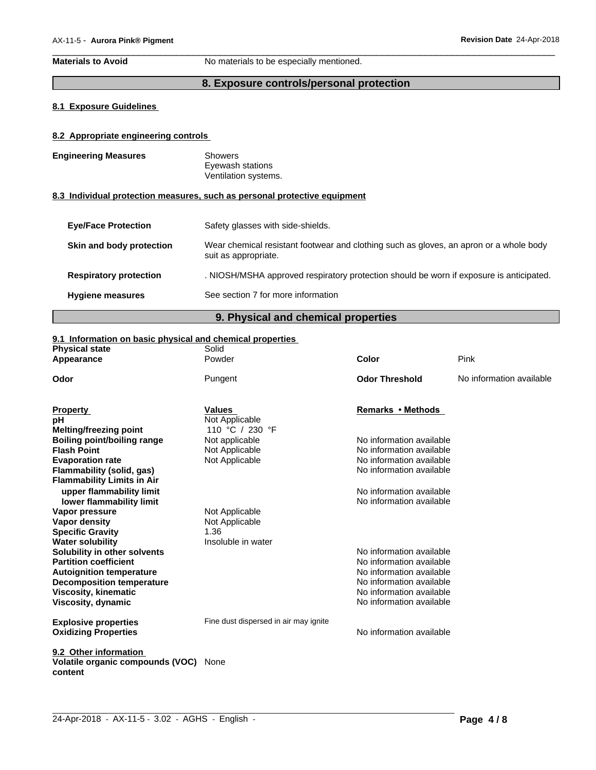**Materials to Avoid** No materials to be especially mentioned.

# **8. Exposure controls/personal protection**

 $\overline{\phantom{a}}$  ,  $\overline{\phantom{a}}$  ,  $\overline{\phantom{a}}$  ,  $\overline{\phantom{a}}$  ,  $\overline{\phantom{a}}$  ,  $\overline{\phantom{a}}$  ,  $\overline{\phantom{a}}$  ,  $\overline{\phantom{a}}$  ,  $\overline{\phantom{a}}$  ,  $\overline{\phantom{a}}$  ,  $\overline{\phantom{a}}$  ,  $\overline{\phantom{a}}$  ,  $\overline{\phantom{a}}$  ,  $\overline{\phantom{a}}$  ,  $\overline{\phantom{a}}$  ,  $\overline{\phantom{a}}$ 

# **8.1 Exposure Guidelines**

# **8.2 Appropriate engineering controls**

| <b>Engineering Measures</b>   | <b>Showers</b><br>Eyewash stations<br>Ventilation systems.                                                     |
|-------------------------------|----------------------------------------------------------------------------------------------------------------|
|                               | 8.3 Individual protection measures, such as personal protective equipment                                      |
| <b>Eve/Face Protection</b>    | Safety glasses with side-shields.                                                                              |
| Skin and body protection      | Wear chemical resistant footwear and clothing such as gloves, an apron or a whole body<br>suit as appropriate. |
| <b>Respiratory protection</b> | . NIOSH/MSHA approved respiratory protection should be worn if exposure is anticipated.                        |
| <b>Hygiene measures</b>       | See section 7 for more information                                                                             |

# **9. Physical and chemical properties**

# **9.1 Information on basic physical and chemical properties**

| <b>Physical state</b>             | Solid<br>Powder                       | Color                    | Pink                     |
|-----------------------------------|---------------------------------------|--------------------------|--------------------------|
| Appearance                        |                                       |                          |                          |
| Odor                              | Pungent                               | <b>Odor Threshold</b>    | No information available |
| <b>Property</b>                   | <b>Values</b>                         | Remarks • Methods        |                          |
| рH                                | Not Applicable                        |                          |                          |
| <b>Melting/freezing point</b>     | 110 °C / 230 °F                       |                          |                          |
| Boiling point/boiling range       | Not applicable                        | No information available |                          |
| <b>Flash Point</b>                | Not Applicable                        | No information available |                          |
| <b>Evaporation rate</b>           | Not Applicable                        | No information available |                          |
| Flammability (solid, gas)         |                                       | No information available |                          |
| <b>Flammability Limits in Air</b> |                                       |                          |                          |
| upper flammability limit          |                                       | No information available |                          |
| lower flammability limit          |                                       | No information available |                          |
| Vapor pressure                    | Not Applicable                        |                          |                          |
| <b>Vapor density</b>              | Not Applicable                        |                          |                          |
| <b>Specific Gravity</b>           | 1.36                                  |                          |                          |
| <b>Water solubility</b>           | Insoluble in water                    |                          |                          |
| Solubility in other solvents      |                                       | No information available |                          |
| <b>Partition coefficient</b>      |                                       | No information available |                          |
| <b>Autoignition temperature</b>   |                                       | No information available |                          |
| <b>Decomposition temperature</b>  |                                       | No information available |                          |
| <b>Viscosity, kinematic</b>       |                                       | No information available |                          |
| Viscosity, dynamic                |                                       | No information available |                          |
| <b>Explosive properties</b>       | Fine dust dispersed in air may ignite |                          |                          |
| <b>Oxidizing Properties</b>       |                                       | No information available |                          |
|                                   |                                       |                          |                          |
| 9.2 Other information             |                                       |                          |                          |
| Volatile organic compounds (VOC)  | None                                  |                          |                          |
| content                           |                                       |                          |                          |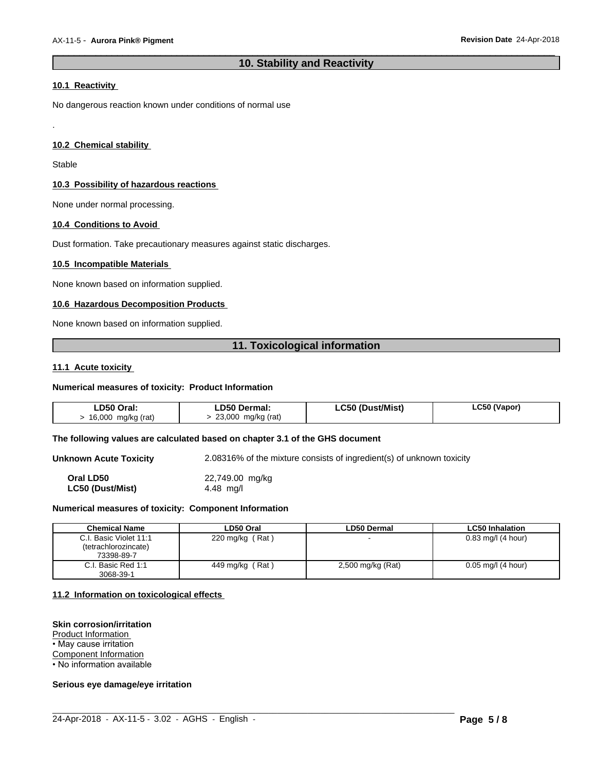# **10. Stability and Reactivity**

 $\overline{\phantom{a}}$  ,  $\overline{\phantom{a}}$  ,  $\overline{\phantom{a}}$  ,  $\overline{\phantom{a}}$  ,  $\overline{\phantom{a}}$  ,  $\overline{\phantom{a}}$  ,  $\overline{\phantom{a}}$  ,  $\overline{\phantom{a}}$  ,  $\overline{\phantom{a}}$  ,  $\overline{\phantom{a}}$  ,  $\overline{\phantom{a}}$  ,  $\overline{\phantom{a}}$  ,  $\overline{\phantom{a}}$  ,  $\overline{\phantom{a}}$  ,  $\overline{\phantom{a}}$  ,  $\overline{\phantom{a}}$ 

# **10.1 Reactivity**

No dangerous reaction known under conditions of normal use

# **10.2 Chemical stability**

**Stable** 

.

# **10.3 Possibility of hazardous reactions**

None under normal processing.

# **10.4 Conditions to Avoid**

Dust formation. Take precautionary measures against static discharges.

#### **10.5 Incompatible Materials**

None known based on information supplied.

# **10.6 Hazardous Decomposition Products**

None known based on information supplied.

# **11. Toxicological information**

#### **11.1 Acute toxicity**

#### **Numerical measures of toxicity: Product Information**

| LD50 Oral:         | LD50 Dermal:       | LC50 (Dust/Mist) | LC50 (Vapor) |
|--------------------|--------------------|------------------|--------------|
| 16,000 mg/kg (rat) | 23,000 mg/kg (rat) |                  |              |

#### **The following values are calculated based on chapter 3.1 of the GHS document**

**Unknown Acute Toxicity** 2.08316% of the mixture consists of ingredient(s) of unknown toxicity

**Oral LD50** 22,749.00 mg/kg **LC50 (Dust/Mist)** 4.48 mg/l

#### **Numerical measures of toxicity: Component Information**

| <b>Chemical Name</b>   | LD50 Oral         | LD50 Dermal       | <b>LC50 Inhalation</b> |
|------------------------|-------------------|-------------------|------------------------|
| C.I. Basic Violet 11:1 | 220 mg/kg $(Rat)$ |                   | $0.83$ mg/l (4 hour)   |
| (tetrachlorozincate)   |                   |                   |                        |
| 73398-89-7             |                   |                   |                        |
| C.I. Basic Red 1:1     | 449 mg/kg (Rat)   | 2,500 mg/kg (Rat) | $0.05$ mg/l (4 hour)   |
| 3068-39-1              |                   |                   |                        |

 $\_$  ,  $\_$  ,  $\_$  ,  $\_$  ,  $\_$  ,  $\_$  ,  $\_$  ,  $\_$  ,  $\_$  ,  $\_$  ,  $\_$  ,  $\_$  ,  $\_$  ,  $\_$  ,  $\_$  ,  $\_$  ,  $\_$  ,  $\_$  ,  $\_$  ,  $\_$  ,  $\_$  ,  $\_$  ,  $\_$  ,  $\_$  ,  $\_$  ,  $\_$  ,  $\_$  ,  $\_$  ,  $\_$  ,  $\_$  ,  $\_$  ,  $\_$  ,  $\_$  ,  $\_$  ,  $\_$  ,  $\_$  ,  $\_$  ,

#### **11.2 Information on toxicologicaleffects**

#### **Skin corrosion/irritation**

Product Information

• May cause irritation

Component Information

• No information available

# **Serious eye damage/eye irritation**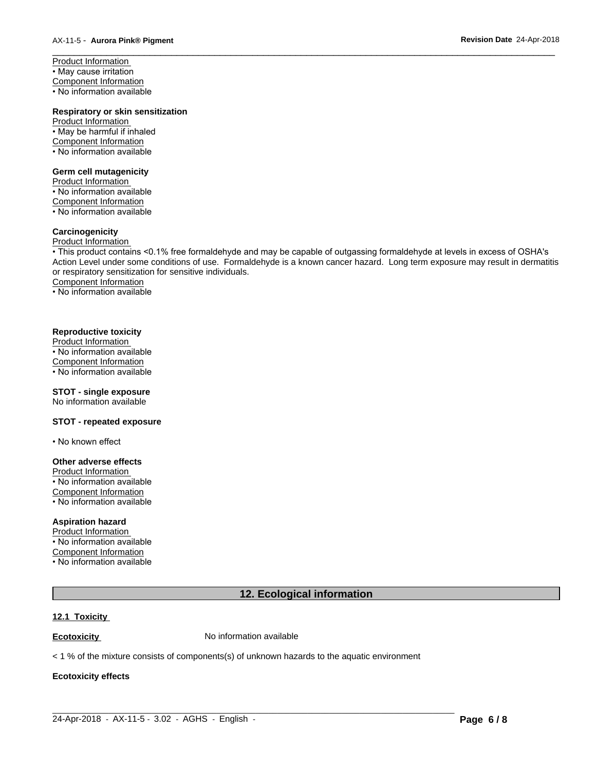Product Information • May cause irritation Component Information • No information available

# **Respiratory or skin sensitization**

Product Information • May be harmful if inhaled Component Information • No information available

# **Germ cell mutagenicity**

Product Information • No information available Component Information • No information available

# **Carcinogenicity**

# Product Information

• This product contains <0.1% free formaldehyde and may be capable of outgassing formaldehyde at levels in excess of OSHA's Action Level under some conditions of use. Formaldehyde is a known cancer hazard. Long term exposure may result in dermatitis or respiratory sensitization for sensitive individuals.Component Information

 $\overline{\phantom{a}}$  ,  $\overline{\phantom{a}}$  ,  $\overline{\phantom{a}}$  ,  $\overline{\phantom{a}}$  ,  $\overline{\phantom{a}}$  ,  $\overline{\phantom{a}}$  ,  $\overline{\phantom{a}}$  ,  $\overline{\phantom{a}}$  ,  $\overline{\phantom{a}}$  ,  $\overline{\phantom{a}}$  ,  $\overline{\phantom{a}}$  ,  $\overline{\phantom{a}}$  ,  $\overline{\phantom{a}}$  ,  $\overline{\phantom{a}}$  ,  $\overline{\phantom{a}}$  ,  $\overline{\phantom{a}}$ 

• No information available

#### **Reproductive toxicity**

Product Information • No information available Component Information • No information available

# **STOT - single exposure**

No information available

# **STOT - repeated exposure**

• No known effect

#### **Other adverse effects**

Product Information • No information available

Component Information • No information available

# **Aspiration hazard**

Product Information • No information available Component Information • No information available

# **12. Ecological information**

# **12.1 Toxicity**

**Ecotoxicity No information available** 

 $<$  1 % of the mixture consists of components(s) of unknown hazards to the aquatic environment

#### **Ecotoxicity effects**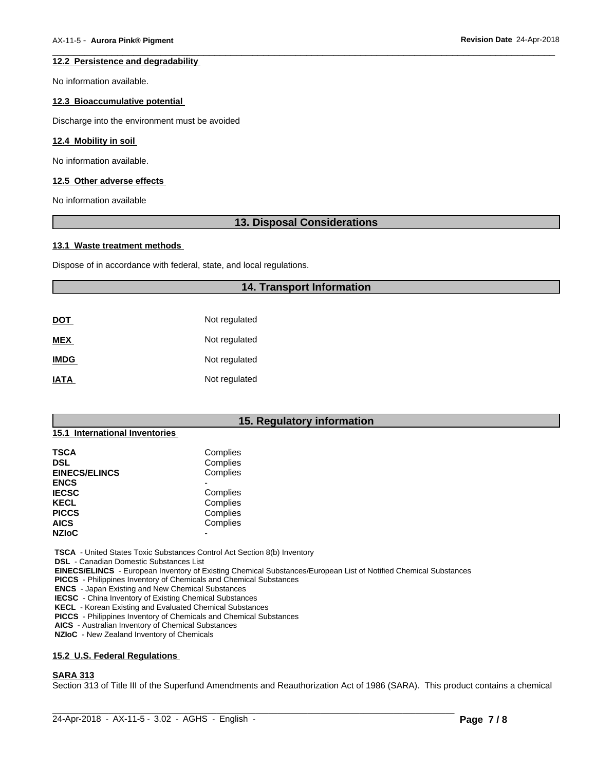# **12.2 Persistence and degradability**

No information available.

#### **12.3 Bioaccumulative potential**

Discharge into the environment must be avoided

# **12.4 Mobility in soil**

No information available.

#### **12.5 Other adverse effects**

No information available

# **13. Disposal Considerations**

 $\overline{\phantom{a}}$  ,  $\overline{\phantom{a}}$  ,  $\overline{\phantom{a}}$  ,  $\overline{\phantom{a}}$  ,  $\overline{\phantom{a}}$  ,  $\overline{\phantom{a}}$  ,  $\overline{\phantom{a}}$  ,  $\overline{\phantom{a}}$  ,  $\overline{\phantom{a}}$  ,  $\overline{\phantom{a}}$  ,  $\overline{\phantom{a}}$  ,  $\overline{\phantom{a}}$  ,  $\overline{\phantom{a}}$  ,  $\overline{\phantom{a}}$  ,  $\overline{\phantom{a}}$  ,  $\overline{\phantom{a}}$ 

#### **13.1 Waste treatment methods**

Dispose of in accordance with federal, state, and local regulations.

# **14. Transport Information**

| DOT         | Not regulated |
|-------------|---------------|
| <b>MEX</b>  | Not regulated |
| <b>IMDG</b> | Not regulated |
| <b>IATA</b> | Not regulated |

# **15. Regulatory information**

# **15.1 International Inventories**

| TSCA                 | Complies |  |
|----------------------|----------|--|
| DSL                  | Complies |  |
| <b>EINECS/ELINCS</b> | Complies |  |
| <b>ENCS</b>          |          |  |
| <b>IECSC</b>         | Complies |  |
| KECL                 | Complies |  |
| <b>PICCS</b>         | Complies |  |
| <b>AICS</b>          | Complies |  |
| <b>NZIoC</b>         | -        |  |
|                      |          |  |

 **TSCA** - United States Toxic Substances Control Act Section 8(b) Inventory

 **DSL** - Canadian Domestic Substances List

 **EINECS/ELINCS** - European Inventory of Existing Chemical Substances/European List of Notified Chemical Substances

 **PICCS** - Philippines Inventory of Chemicals and Chemical Substances

 **ENCS** - Japan Existing and New Chemical Substances

 **IECSC** - China Inventory of Existing Chemical Substances

 **KECL** - Korean Existing and Evaluated Chemical Substances

 **PICCS** - Philippines Inventory of Chemicals and Chemical Substances

 **AICS** - Australian Inventory of Chemical Substances

 **NZIoC** - New Zealand Inventory of Chemicals

# **15.2 U.S. Federal Regulations**

#### **SARA 313**

Section 313 of Title III of the Superfund Amendments and Reauthorization Act of 1986 (SARA). This product contains a chemical